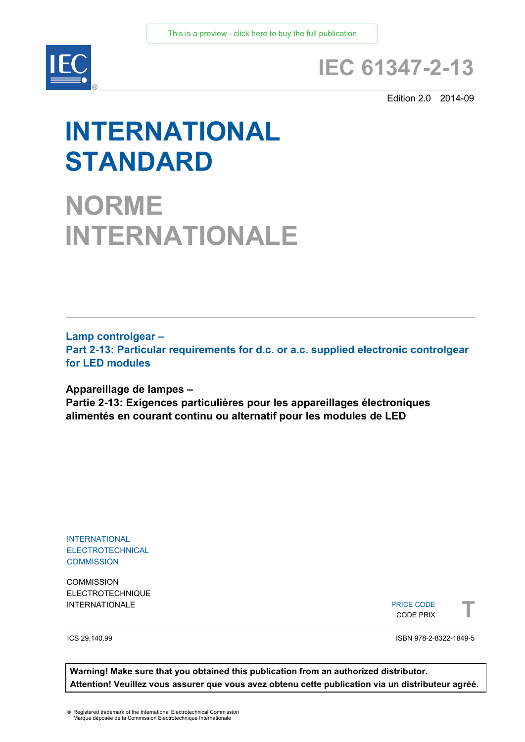

# **IEC 61347-2-13**

Edition 2.0 2014-09

# **INTERNATIONAL STANDARD**

**NORME INTERNATIONALE**

**Lamp controlgear – Part 2-13: Particular requirements for d.c. or a.c. supplied electronic controlgear for LED modules**

**Appareillage de lampes – Partie 2-13: Exigences particulières pour les appareillages électroniques alimentés en courant continu ou alternatif pour les modules de LED**

INTERNATIONAL **ELECTROTECHNICAL COMMISSION** 

**COMMISSION** ELECTROTECHNIQUE

INTERNATIONALE PRICE CODE PRIX **The CODE PRICE CODE PRIX** PRICE CODE CODE PRIX



ICS 29.140.99

ISBN 978-2-8322-1849-5

**Warning! Make sure that you obtained this publication from an authorized distributor. Attention! Veuillez vous assurer que vous avez obtenu cette publication via un distributeur agréé.**

® Registered trademark of the International Electrotechnical Commission Marque déposée de la Commission Electrotechnique Internationale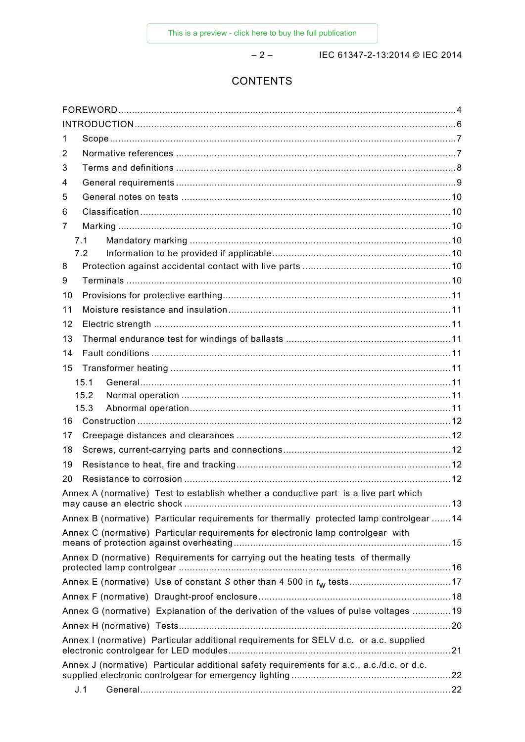– 2 – IEC 61347-2-13:2014 © IEC 2014

# **CONTENTS**

| 1                                                                                         |  |  |
|-------------------------------------------------------------------------------------------|--|--|
| 2                                                                                         |  |  |
| 3                                                                                         |  |  |
| 4                                                                                         |  |  |
| 5                                                                                         |  |  |
| 6                                                                                         |  |  |
| 7                                                                                         |  |  |
| 7.1                                                                                       |  |  |
| 7.2                                                                                       |  |  |
| 8                                                                                         |  |  |
| 9                                                                                         |  |  |
| 10                                                                                        |  |  |
| 11                                                                                        |  |  |
| 12                                                                                        |  |  |
| 13                                                                                        |  |  |
| 14                                                                                        |  |  |
| 15                                                                                        |  |  |
| 15.1                                                                                      |  |  |
| 15.2                                                                                      |  |  |
| 15.3                                                                                      |  |  |
| 16                                                                                        |  |  |
| 17                                                                                        |  |  |
| 18                                                                                        |  |  |
| 19                                                                                        |  |  |
| 20                                                                                        |  |  |
| Annex A (normative) Test to establish whether a conductive part is a live part which      |  |  |
| Annex B (normative) Particular requirements for thermally protected lamp controlgear 14   |  |  |
| Annex C (normative) Particular requirements for electronic lamp controlgear with          |  |  |
| Annex D (normative) Requirements for carrying out the heating tests of thermally          |  |  |
|                                                                                           |  |  |
|                                                                                           |  |  |
| Annex G (normative) Explanation of the derivation of the values of pulse voltages 19      |  |  |
|                                                                                           |  |  |
| Annex I (normative) Particular additional requirements for SELV d.c. or a.c. supplied     |  |  |
|                                                                                           |  |  |
| Annex J (normative) Particular additional safety requirements for a.c., a.c./d.c. or d.c. |  |  |
| J.1                                                                                       |  |  |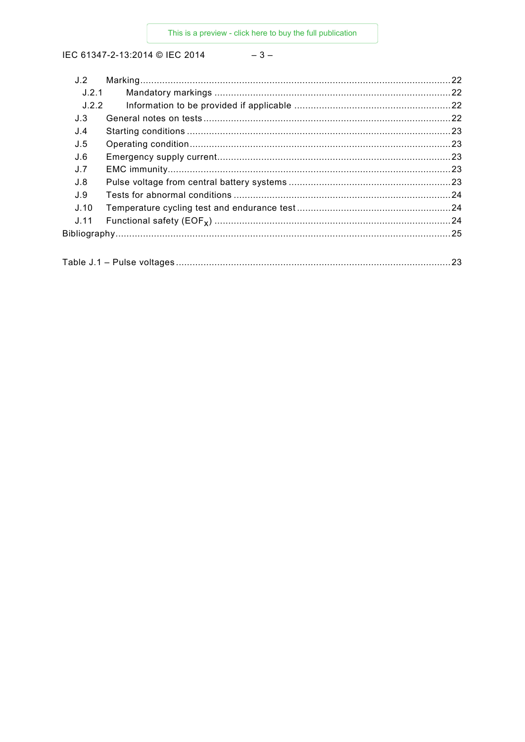# $-3-$

| J.2   |  |
|-------|--|
| J.2.1 |  |
| J.2.2 |  |
| J.3   |  |
| J.4   |  |
| J.5   |  |
| J.6   |  |
| J.7   |  |
| J.8   |  |
| J.9   |  |
| J.10  |  |
| J.11  |  |
|       |  |
|       |  |

|--|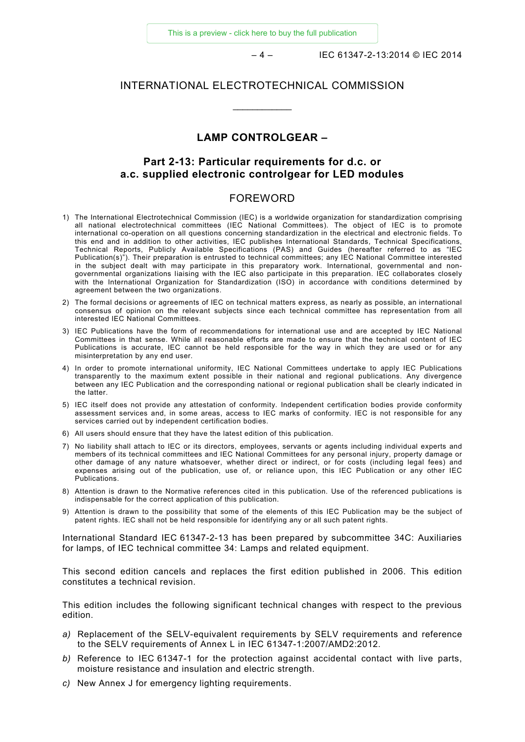[This is a preview - click here to buy the full publication](https://webstore.iec.ch/publication/5368&preview=1)

– 4 – IEC 61347-2-13:2014 © IEC 2014

#### INTERNATIONAL ELECTROTECHNICAL COMMISSION

 $\overline{\phantom{a}}$ 

#### **LAMP CONTROLGEAR –**

#### **Part 2-13: Particular requirements for d.c. or a.c. supplied electronic controlgear for LED modules**

#### FOREWORD

- <span id="page-3-0"></span>1) The International Electrotechnical Commission (IEC) is a worldwide organization for standardization comprising all national electrotechnical committees (IEC National Committees). The object of IEC is to promote international co-operation on all questions concerning standardization in the electrical and electronic fields. To this end and in addition to other activities, IEC publishes International Standards, Technical Specifications, Technical Reports, Publicly Available Specifications (PAS) and Guides (hereafter referred to as "IEC Publication(s)"). Their preparation is entrusted to technical committees; any IEC National Committee interested in the subject dealt with may participate in this preparatory work. International, governmental and nongovernmental organizations liaising with the IEC also participate in this preparation. IEC collaborates closely with the International Organization for Standardization (ISO) in accordance with conditions determined by agreement between the two organizations.
- 2) The formal decisions or agreements of IEC on technical matters express, as nearly as possible, an international consensus of opinion on the relevant subjects since each technical committee has representation from all interested IEC National Committees.
- 3) IEC Publications have the form of recommendations for international use and are accepted by IEC National Committees in that sense. While all reasonable efforts are made to ensure that the technical content of IEC Publications is accurate, IEC cannot be held responsible for the way in which they are used or for any misinterpretation by any end user.
- 4) In order to promote international uniformity, IEC National Committees undertake to apply IEC Publications transparently to the maximum extent possible in their national and regional publications. Any divergence between any IEC Publication and the corresponding national or regional publication shall be clearly indicated in the latter.
- 5) IEC itself does not provide any attestation of conformity. Independent certification bodies provide conformity assessment services and, in some areas, access to IEC marks of conformity. IEC is not responsible for any services carried out by independent certification bodies.
- 6) All users should ensure that they have the latest edition of this publication.
- 7) No liability shall attach to IEC or its directors, employees, servants or agents including individual experts and members of its technical committees and IEC National Committees for any personal injury, property damage or other damage of any nature whatsoever, whether direct or indirect, or for costs (including legal fees) and expenses arising out of the publication, use of, or reliance upon, this IEC Publication or any other IEC Publications.
- 8) Attention is drawn to the Normative references cited in this publication. Use of the referenced publications is indispensable for the correct application of this publication.
- 9) Attention is drawn to the possibility that some of the elements of this IEC Publication may be the subject of patent rights. IEC shall not be held responsible for identifying any or all such patent rights.

International Standard IEC 61347-2-13 has been prepared by subcommittee 34C: Auxiliaries for lamps, of IEC technical committee 34: Lamps and related equipment.

This second edition cancels and replaces the first edition published in 2006. This edition constitutes a technical revision.

This edition includes the following significant technical changes with respect to the previous edition.

- *a)* Replacement of the SELV-equivalent requirements by SELV requirements and reference to the SELV requirements of Annex L in IEC 61347-1:2007/AMD2:2012.
- *b)* Reference to IEC 61347-1 for the protection against accidental contact with live parts, moisture resistance and insulation and electric strength.
- *c)* New Annex J for emergency lighting requirements.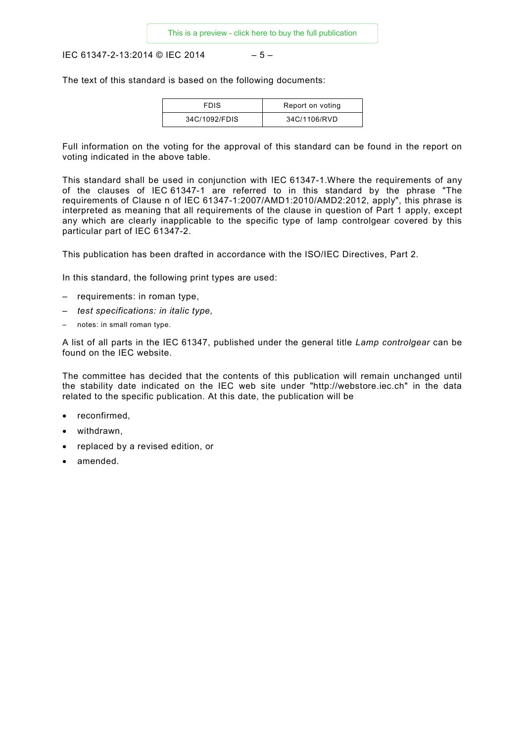IEC 61347-2-13:2014 © IEC 2014 – 5 –

The text of this standard is based on the following documents:

| <b>FDIS</b>   | Report on voting |
|---------------|------------------|
| 34C/1092/FDIS | 34C/1106/RVD     |

Full information on the voting for the approval of this standard can be found in the report on voting indicated in the above table.

This standard shall be used in conjunction with IEC 61347-1.Where the requirements of any of the clauses of IEC 61347-1 are referred to in this standard by the phrase "The requirements of Clause n of IEC 61347-1:2007/AMD1:2010/AMD2:2012, apply", this phrase is interpreted as meaning that all requirements of the clause in question of Part 1 apply, except any which are clearly inapplicable to the specific type of lamp controlgear covered by this particular part of IEC 61347-2.

This publication has been drafted in accordance with the ISO/IEC Directives, Part 2.

In this standard, the following print types are used:

- requirements: in roman type,
- *test specifications: in italic type,*
- notes: in small roman type.

A list of all parts in the IEC 61347, published under the general title *Lamp controlgear* can be found on the IEC website.

The committee has decided that the contents of this publication will remain unchanged until the stability date indicated on the IEC web site under "http://webstore.iec.ch" in the data related to the specific publication. At this date, the publication will be

- reconfirmed,
- withdrawn,
- replaced by a revised edition, or
- amended.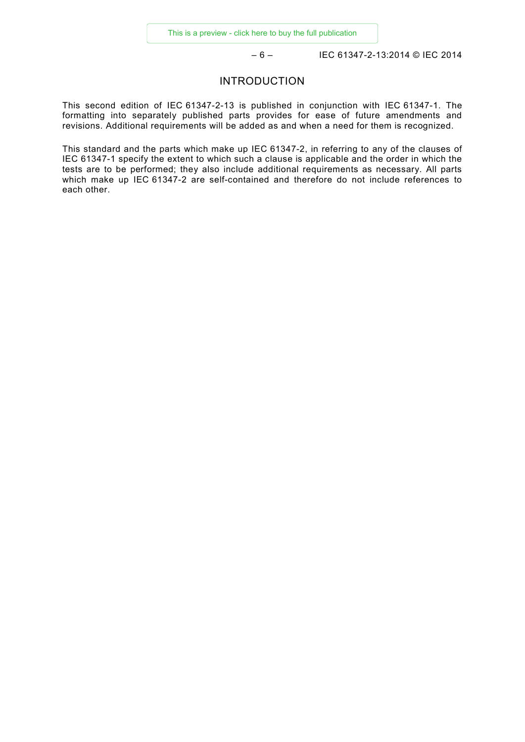– 6 – IEC 61347-2-13:2014 © IEC 2014

#### INTRODUCTION

<span id="page-5-0"></span>This second edition of IEC 61347-2-13 is published in conjunction with IEC 61347-1. The formatting into separately published parts provides for ease of future amendments and revisions. Additional requirements will be added as and when a need for them is recognized.

This standard and the parts which make up IEC 61347-2, in referring to any of the clauses of IEC 61347-1 specify the extent to which such a clause is applicable and the order in which the tests are to be performed; they also include additional requirements as necessary. All parts which make up IEC 61347-2 are self-contained and therefore do not include references to each other.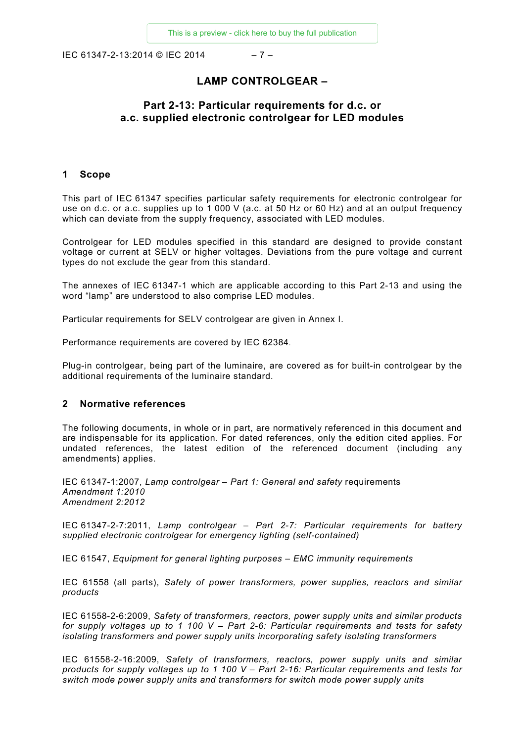IEC 61347-2-13:2014 © IEC 2014 – 7 –

# **LAMP CONTROLGEAR –**

#### **Part 2-13: Particular requirements for d.c. or a.c. supplied electronic controlgear for LED modules**

#### <span id="page-6-0"></span>**1 Scope**

This part of IEC 61347 specifies particular safety requirements for electronic controlgear for use on d.c. or a.c. supplies up to 1 000 V (a.c. at 50 Hz or 60 Hz) and at an output frequency which can deviate from the supply frequency, associated with LED modules.

Controlgear for LED modules specified in this standard are designed to provide constant voltage or current at SELV or higher voltages. Deviations from the pure voltage and current types do not exclude the gear from this standard.

The annexes of IEC 61347-1 which are applicable according to this Part 2-13 and using the word "lamp" are understood to also comprise LED modules.

Particular requirements for SELV controlgear are given in Annex I.

Performance requirements are covered by IEC 62384.

Plug-in controlgear, being part of the luminaire, are covered as for built-in controlgear by the additional requirements of the luminaire standard.

#### <span id="page-6-1"></span>**2 Normative references**

The following documents, in whole or in part, are normatively referenced in this document and are indispensable for its application. For dated references, only the edition cited applies. For undated references, the latest edition of the referenced document (including any amendments) applies.

IEC 61347-1:2007, *Lamp controlgear – Part 1: General and safety* requirements *Amendment 1:2010 Amendment 2:2012* 

IEC 61347-2-7:2011, *Lamp controlgear – Part 2-7: Particular requirements for battery supplied electronic controlgear for emergency lighting (self-contained)*

IEC 61547, *Equipment for general lighting purposes – EMC immunity requirements*

IEC 61558 (all parts), *Safety of power transformers, power supplies, reactors and similar products*

IEC 61558-2-6:2009, *Safety of transformers, reactors, power supply units and similar products for supply voltages up to 1 100 V – Part 2-6: Particular requirements and tests for safety isolating transformers and power supply units incorporating safety isolating transformers*

IEC 61558-2-16:2009, *Safety of transformers, reactors, power supply units and similar products for supply voltages up to 1 100 V – Part 2-16: Particular requirements and tests for switch mode power supply units and transformers for switch mode power supply units*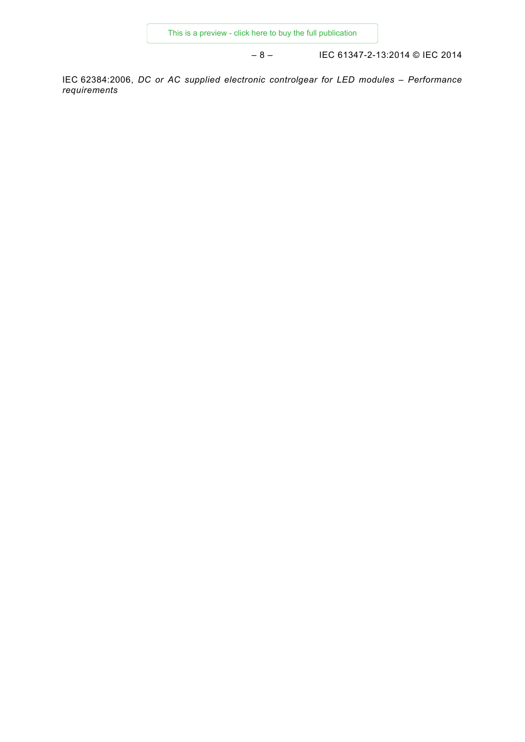– 8 – IEC 61347-2-13:2014 © IEC 2014

<span id="page-7-0"></span>IEC 62384:2006, *DC or AC supplied electronic controlgear for LED modules – Performance requirements*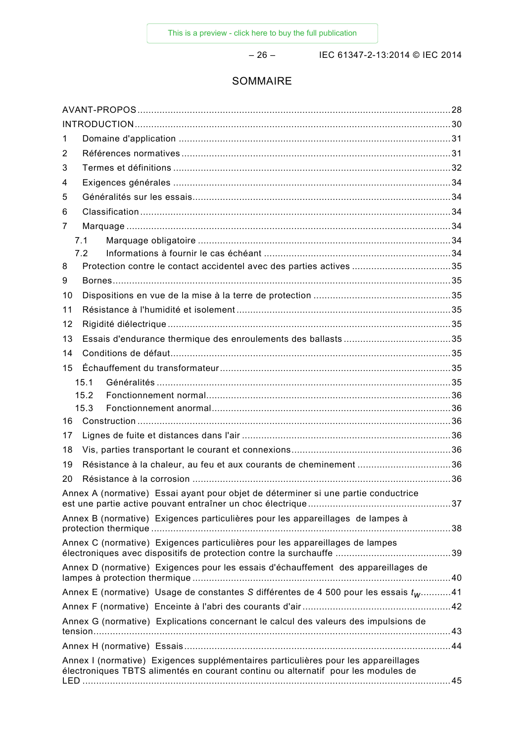– 26 – IEC 61347-2-13:2014 © IEC 2014

# SOMMAIRE

| 1                                                                                                                                                                       |  |
|-------------------------------------------------------------------------------------------------------------------------------------------------------------------------|--|
| 2                                                                                                                                                                       |  |
| 3                                                                                                                                                                       |  |
| 4                                                                                                                                                                       |  |
| 5                                                                                                                                                                       |  |
| 6                                                                                                                                                                       |  |
| 7                                                                                                                                                                       |  |
| 7.1                                                                                                                                                                     |  |
| 7.2                                                                                                                                                                     |  |
| Protection contre le contact accidentel avec des parties actives 35<br>8                                                                                                |  |
| 9                                                                                                                                                                       |  |
| 10                                                                                                                                                                      |  |
| 11                                                                                                                                                                      |  |
| 12                                                                                                                                                                      |  |
| 13                                                                                                                                                                      |  |
| 14                                                                                                                                                                      |  |
| 15                                                                                                                                                                      |  |
| 15.1                                                                                                                                                                    |  |
| 15.2                                                                                                                                                                    |  |
| 15.3                                                                                                                                                                    |  |
| 16                                                                                                                                                                      |  |
| 17                                                                                                                                                                      |  |
| 18                                                                                                                                                                      |  |
| Résistance à la chaleur, au feu et aux courants de cheminement 36<br>19                                                                                                 |  |
| 20                                                                                                                                                                      |  |
| Annex A (normative) Essai ayant pour objet de déterminer si une partie conductrice                                                                                      |  |
| Annex B (normative) Exigences particulières pour les appareillages de lampes à                                                                                          |  |
| Annex C (normative) Exigences particulières pour les appareillages de lampes                                                                                            |  |
| Annex D (normative) Exigences pour les essais d'échauffement des appareillages de                                                                                       |  |
| Annex E (normative) Usage de constantes S différentes de 4 500 pour les essais tw41                                                                                     |  |
|                                                                                                                                                                         |  |
| Annex G (normative) Explications concernant le calcul des valeurs des impulsions de                                                                                     |  |
|                                                                                                                                                                         |  |
| Annex I (normative) Exigences supplémentaires particulières pour les appareillages<br>électroniques TBTS alimentés en courant continu ou alternatif pour les modules de |  |
|                                                                                                                                                                         |  |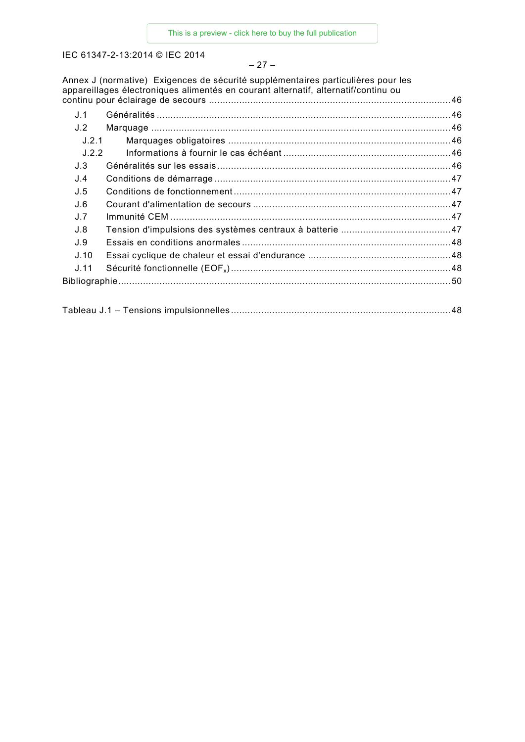#### – 27 –

Annex J (normative) Exigences de sécurité supplémentaires particulières pour les appareillages électroniques alimentés en courant alternatif, alternatif/continu ou continu pour éclairage de secours ........................................................................................46

| J.1   |  |
|-------|--|
| J.2   |  |
| J.2.1 |  |
| J.2.2 |  |
| J.3   |  |
| J.4   |  |
| J.5   |  |
| J.6   |  |
| J.7   |  |
| J.8   |  |
| .1.9  |  |
| J.10  |  |
| J.11  |  |
|       |  |
|       |  |

|--|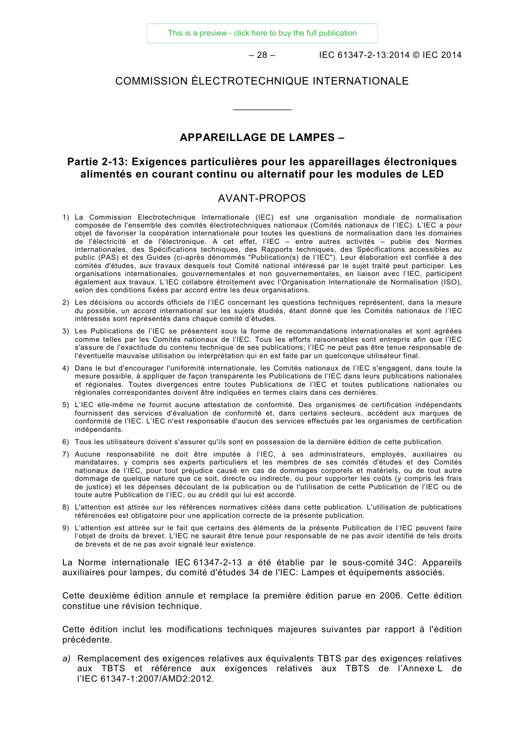[This is a preview - click here to buy the full publication](https://webstore.iec.ch/publication/5368&preview=1)

– 28 – IEC 61347-2-13:2014 © IEC 2014

#### COMMISSION ÉLECTROTECHNIQUE INTERNATIONALE

\_\_\_\_\_\_\_\_\_\_\_\_

#### **APPAREILLAGE DE LAMPES –**

#### **Partie 2-13: Exigences particulières pour les appareillages électroniques alimentés en courant continu ou alternatif pour les modules de LED**

#### AVANT-PROPOS

- <span id="page-10-0"></span>1) La Commission Electrotechnique Internationale (IEC) est une organisation mondiale de normalisation composée de l'ensemble des comités électrotechniques nationaux (Comités nationaux de l'IEC). L'IEC a pour objet de favoriser la coopération internationale pour toutes les questions de normalisation dans les domaines de l'électricité et de l'électronique. A cet effet, l'IEC – entre autres activités – publie des Normes internationales, des Spécifications techniques, des Rapports techniques, des Spécifications accessibles au public (PAS) et des Guides (ci-après dénommés "Publication(s) de l'IEC"). Leur élaboration est confiée à des comités d'études, aux travaux desquels tout Comité national intéressé par le sujet traité peut participer. Les organisations internationales, gouvernementales et non gouvernementales, en liaison avec l'IEC, participent également aux travaux. L'IEC collabore étroitement avec l'Organisation Internationale de Normalisation (ISO), selon des conditions fixées par accord entre les deux organisations.
- 2) Les décisions ou accords officiels de l'IEC concernant les questions techniques représentent, dans la mesure du possible, un accord international sur les sujets étudiés, étant donné que les Comités nationaux de l'IEC intéressés sont représentés dans chaque comité d'études.
- 3) Les Publications de l'IEC se présentent sous la forme de recommandations internationales et sont agréées comme telles par les Comités nationaux de l'IEC. Tous les efforts raisonnables sont entrepris afin que l'IEC s'assure de l'exactitude du contenu technique de ses publications; l'IEC ne peut pas être tenue responsable de l'éventuelle mauvaise utilisation ou interprétation qui en est faite par un quelconque utilisateur final.
- 4) Dans le but d'encourager l'uniformité internationale, les Comités nationaux de l'IEC s'engagent, dans toute la mesure possible, à appliquer de façon transparente les Publications de l'IEC dans leurs publications nationales et régionales. Toutes divergences entre toutes Publications de l'IEC et toutes publications nationales ou régionales correspondantes doivent être indiquées en termes clairs dans ces dernières.
- 5) L'IEC elle-même ne fournit aucune attestation de conformité. Des organismes de certification indépendants fournissent des services d'évaluation de conformité et, dans certains secteurs, accèdent aux marques de conformité de l'IEC. L'IEC n'est responsable d'aucun des services effectués par les organismes de certification indépendants.
- 6) Tous les utilisateurs doivent s'assurer qu'ils sont en possession de la dernière édition de cette publication.
- 7) Aucune responsabilité ne doit être imputée à l'IEC, à ses administrateurs, employés, auxiliaires ou mandataires, y compris ses experts particuliers et les membres de ses comités d'études et des Comités nationaux de l'IEC, pour tout préjudice causé en cas de dommages corporels et matériels, ou de tout autre dommage de quelque nature que ce soit, directe ou indirecte, ou pour supporter les coûts (y compris les frais de justice) et les dépenses découlant de la publication ou de l'utilisation de cette Publication de l'IEC ou de toute autre Publication de l'IEC, ou au crédit qui lui est accordé.
- 8) L'attention est attirée sur les références normatives citées dans cette publication. L'utilisation de publications référencées est obligatoire pour une application correcte de la présente publication.
- 9) L'attention est attirée sur le fait que certains des éléments de la présente Publication de l'IEC peuvent faire l'objet de droits de brevet. L'IEC ne saurait être tenue pour responsable de ne pas avoir identifié de tels droits de brevets et de ne pas avoir signalé leur existence.

La Norme internationale IEC 61347-2-13 a été établie par le sous-comité 34C: Appareils auxiliaires pour lampes, du comité d'études 34 de l'IEC: Lampes et équipements associés.

Cette deuxième édition annule et remplace la première édition parue en 2006. Cette édition constitue une révision technique.

Cette édition inclut les modifications techniques majeures suivantes par rapport à l'édition précédente.

*a)* Remplacement des exigences relatives aux équivalents TBTS par des exigences relatives aux TBTS et référence aux exigences relatives aux TBTS de l'Annexe L de l'IEC 61347-1:2007/AMD2:2012.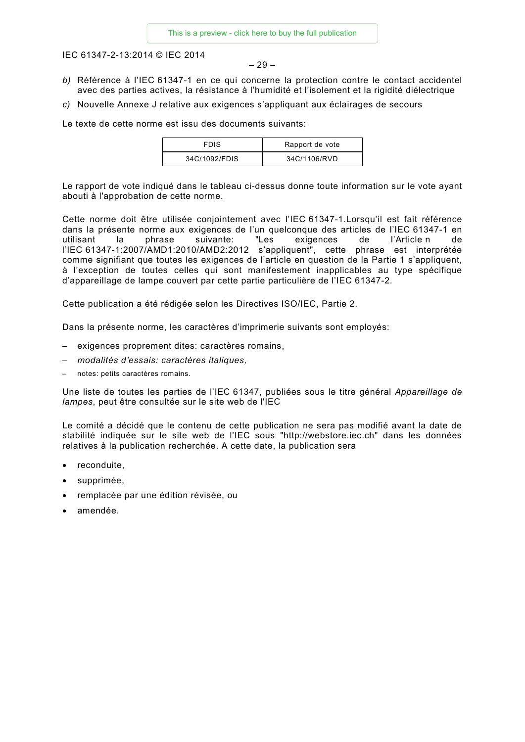– 29 –

- *b)* Référence à l'IEC 61347-1 en ce qui concerne la protection contre le contact accidentel avec des parties actives, la résistance à l'humidité et l'isolement et la rigidité diélectrique
- *c)* Nouvelle Annexe J relative aux exigences s'appliquant aux éclairages de secours

Le texte de cette norme est issu des documents suivants:

| <b>FDIS</b>   | Rapport de vote |
|---------------|-----------------|
| 34C/1092/FDIS | 34C/1106/RVD    |

Le rapport de vote indiqué dans le tableau ci-dessus donne toute information sur le vote ayant abouti à l'approbation de cette norme.

Cette norme doit être utilisée conjointement avec l'IEC 61347-1.Lorsqu'il est fait référence dans la présente norme aux exigences de l'un quelconque des articles de l'IEC 61347-1 en utilisant la phrase suivante: "Les exigences de l'Article n de l'IEC 61347-1:2007/AMD1:2010/AMD2:2012 s'appliquent", cette phrase est interprétée comme signifiant que toutes les exigences de l'article en question de la Partie 1 s'appliquent, à l'exception de toutes celles qui sont manifestement inapplicables au type spécifique d'appareillage de lampe couvert par cette partie particulière de l'IEC 61347-2.

Cette publication a été rédigée selon les Directives ISO/IEC, Partie 2.

Dans la présente norme, les caractères d'imprimerie suivants sont employés:

- exigences proprement dites: caractères romains,
- *modalités d'essais: caractères italiques,*
- notes: petits caractères romains.

Une liste de toutes les parties de l'IEC 61347, publiées sous le titre général *Appareillage de lampes*, peut être consultée sur le site web de l'IEC

Le comité a décidé que le contenu de cette publication ne sera pas modifié avant la date de stabilité indiquée sur le site web de l'IEC sous "http://webstore.iec.ch" dans les données relatives à la publication recherchée. A cette date, la publication sera

- reconduite,
- supprimée,
- remplacée par une édition révisée, ou
- amendée.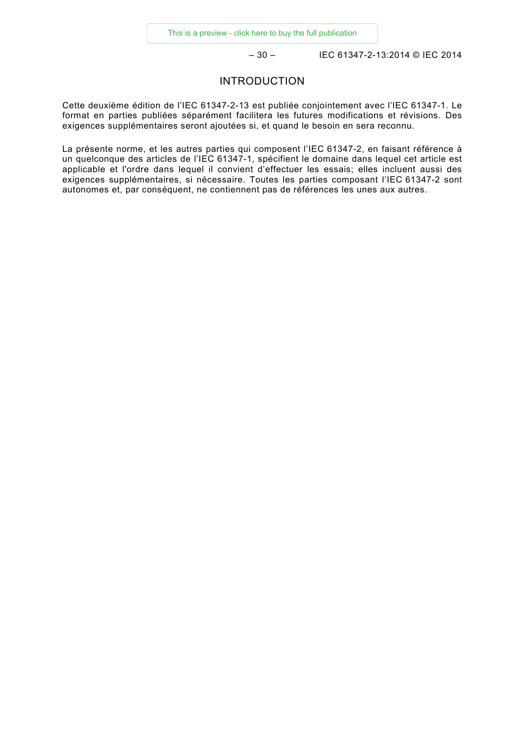– 30 – IEC 61347-2-13:2014 © IEC 2014

#### INTRODUCTION

<span id="page-12-0"></span>Cette deuxième édition de l'IEC 61347-2-13 est publiée conjointement avec l'IEC 61347-1. Le format en parties publiées séparément facilitera les futures modifications et révisions. Des exigences supplémentaires seront ajoutées si, et quand le besoin en sera reconnu.

La présente norme, et les autres parties qui composent l'IEC 61347-2, en faisant référence à un quelconque des articles de l'IEC 61347-1, spécifient le domaine dans lequel cet article est applicable et l'ordre dans lequel il convient d'effectuer les essais; elles incluent aussi des exigences supplémentaires, si nécessaire. Toutes les parties composant l'IEC 61347-2 sont autonomes et, par conséquent, ne contiennent pas de références les unes aux autres.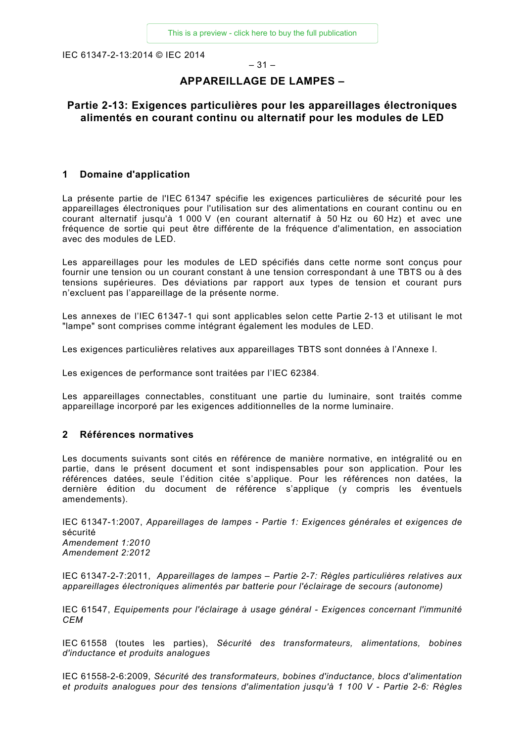#### $-31-$

### **APPAREILLAGE DE LAMPES –**

#### **Partie 2-13: Exigences particulières pour les appareillages électroniques alimentés en courant continu ou alternatif pour les modules de LED**

#### <span id="page-13-0"></span>**1 Domaine d'application**

La présente partie de l'IEC 61347 spécifie les exigences particulières de sécurité pour les appareillages électroniques pour l'utilisation sur des alimentations en courant continu ou en courant alternatif jusqu'à 1 000 V (en courant alternatif à 50 Hz ou 60 Hz) et avec une fréquence de sortie qui peut être différente de la fréquence d'alimentation, en association avec des modules de LED.

Les appareillages pour les modules de LED spécifiés dans cette norme sont conçus pour fournir une tension ou un courant constant à une tension correspondant à une TBTS ou à des tensions supérieures. Des déviations par rapport aux types de tension et courant purs n'excluent pas l'appareillage de la présente norme.

Les annexes de l'IEC 61347-1 qui sont applicables selon cette Partie 2-13 et utilisant le mot "lampe" sont comprises comme intégrant également les modules de LED.

Les exigences particulières relatives aux appareillages TBTS sont données à l'Annexe I.

Les exigences de performance sont traitées par l'IEC 62384.

Les appareillages connectables, constituant une partie du luminaire, sont traités comme appareillage incorporé par les exigences additionnelles de la norme luminaire.

#### <span id="page-13-1"></span>**2 Références normatives**

Les documents suivants sont cités en référence de manière normative, en intégralité ou en partie, dans le présent document et sont indispensables pour son application. Pour les références datées, seule l'édition citée s'applique. Pour les références non datées, la dernière édition du document de référence s'applique (y compris les éventuels amendements).

IEC 61347-1:2007, *Appareillages de lampes - Partie 1: Exigences générales et exigences de*  sécurité *Amendement 1:2010 Amendement 2:2012* 

IEC 61347-2-7:2011, *Appareillages de lampes – Partie 2-7: Règles particulières relatives aux appareillages électroniques alimentés par batterie pour l'éclairage de secours (autonome)*

IEC 61547, *Equipements pour l'éclairage à usage général - Exigences concernant l'immunité CEM*

IEC 61558 (toutes les parties), *Sécurité des transformateurs, alimentations, bobines d'inductance et produits analogues* 

IEC 61558-2-6:2009, *Sécurité des transformateurs, bobines d'inductance, blocs d'alimentation et produits analogues pour des tensions d'alimentation jusqu'à 1 100 V - Partie 2-6: Règles*